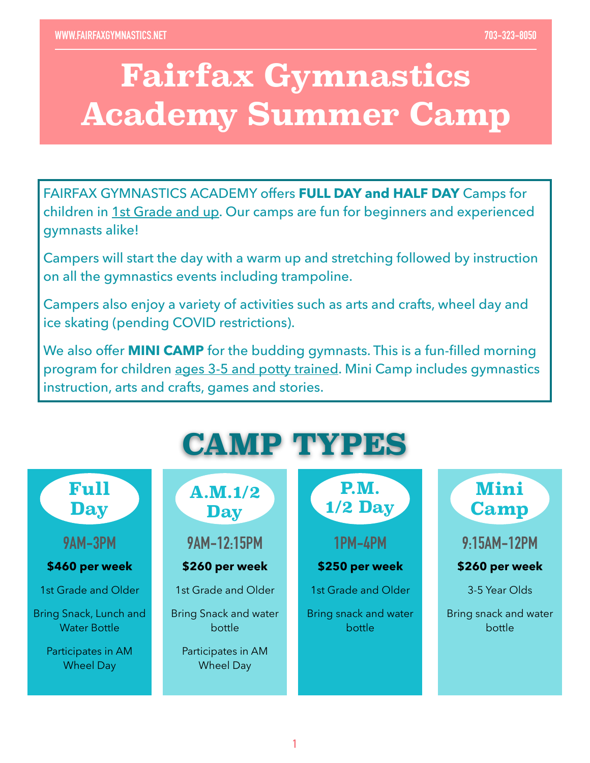## **Fairfax Gymnastics Academy Summer Camp**

FAIRFAX GYMNASTICS ACADEMY offers **FULL DAY and HALF DAY** Camps for children in 1st Grade and up. Our camps are fun for beginners and experienced gymnasts alike!

Campers will start the day with a warm up and stretching followed by instruction on all the gymnastics events including trampoline.

Campers also enjoy a variety of activities such as arts and crafts, wheel day and ice skating (pending COVID restrictions).

We also offer **MINI CAMP** for the budding gymnasts. This is a fun-filled morning program for children ages 3-5 and potty trained. Mini Camp includes gymnastics instruction, arts and crafts, games and stories.